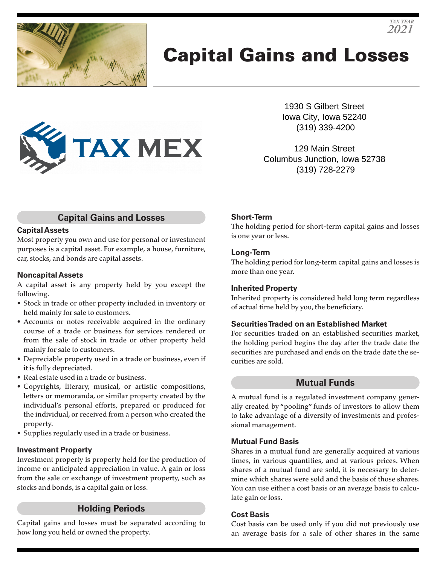

# Capital Gains and Losses



1930 S Gilbert Street Iowa City, Iowa 52240 (319) 339-4200

129 Main Street Columbus Junction, Iowa 52738 (319) 728-2279

## **Capital Gains and Losses**

#### **Capital Assets**

Most property you own and use for personal or investment purposes is a capital asset. For example, a house, furniture, car, stocks, and bonds are capital assets.

#### **Noncapital Assets**

A capital asset is any property held by you except the following.

- Stock in trade or other property included in inventory or held mainly for sale to customers.
- Accounts or notes receivable acquired in the ordinary course of a trade or business for services rendered or from the sale of stock in trade or other property held mainly for sale to customers.
- Depreciable property used in a trade or business, even if it is fully depreciated.
- Real estate used in a trade or business.
- Copyrights, literary, musical, or artistic compositions, letters or memoranda, or similar property created by the individual's personal efforts, prepared or produced for the individual, or received from a person who created the property.
- Supplies regularly used in a trade or business.

#### **Investment Property**

Investment property is property held for the production of income or anticipated appreciation in value. A gain or loss from the sale or exchange of investment property, such as stocks and bonds, is a capital gain or loss.

## **Holding Periods**

Capital gains and losses must be separated according to how long you held or owned the property.

### **Short-Term**

The holding period for short-term capital gains and losses is one year or less.

#### **Long-Term**

The holding period for long-term capital gains and losses is more than one year.

#### **Inherited Property**

Inherited property is considered held long term regardless of actual time held by you, the beneficiary.

#### **Securities Traded on an Established Market**

For securities traded on an established securities market, the holding period begins the day after the trade date the securities are purchased and ends on the trade date the securities are sold.

## **Mutual Funds**

A mutual fund is a regulated investment company generally created by "pooling" funds of investors to allow them to take advantage of a diversity of investments and professional management.

#### **Mutual Fund Basis**

Shares in a mutual fund are generally acquired at various times, in various quantities, and at various prices. When shares of a mutual fund are sold, it is necessary to determine which shares were sold and the basis of those shares. You can use either a cost basis or an average basis to calculate gain or loss.

#### **Cost Basis**

Cost basis can be used only if you did not previously use an average basis for a sale of other shares in the same